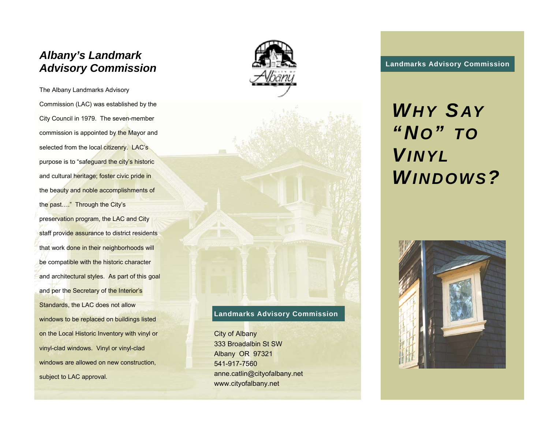# **Landmark Albany's Landmark**<br> **Advisory Commission**

The Albany Landmarks Advisory Commission (LAC) was established by the City Council in 1979. The seven-member commission is appointed by the Mayor and selected from the local citizenry. LAC's purpose is to "safeguard the city's historic and cultural heritage; foster civic pride in the beauty and noble accomplishments of the past…." Through the City's preservation program, the LAC and City staff provide assurance to district residents that work done in their neighborhoods will be compatible with the historic character and architectural styles. As part of this goal and per the Secretary of the Interior's Standards, the LAC does not allow windows to be replaced on buildings listed on the Local Historic Inventory with vinyl or vinyl-clad windows. Vinyl or vinyl-clad windows are allowed on new construction, subject to LAC approval.



### **Landmarks Advisory Commission**

City of Albany 333 Broadalbin St SW Albany OR 97321 541-917-7560 anne.catlin@cityofalbany.net www.cityofalbany.net

## *WHY S AY "NO" TOVINYLWINDOWS?*